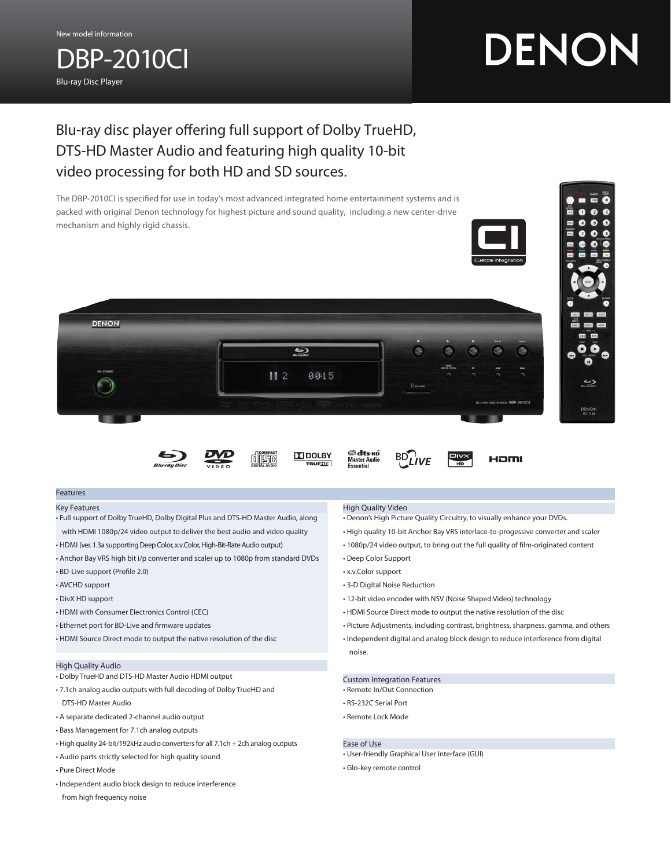DBP-2010CI

Blu-ray Disc Player

# DENON

## Blu-ray disc player offering full support of Dolby TrueHD, DTS-HD Master Audio and featuring high quality 10-bit video processing for both HD and SD sources.

The DBP-2010CI is specified for use in today's most advanced integrated home entertainment systems and is packed with original Denon technology for highest picture and sound quality, including a new center-drive mechanism and highly rigid chassis.





**TTI DOLBY** 

**RUETE** 



#### Features

Key Features

- Full support of Dolby TrueHD, Dolby Digital Plus and DTS-HD Master Audio, along with HDMI 1080p/24 video output to deliver the best audio and video quality
- HDMI (ver. 1.3a supporting Deep Color, x.v.Color, High-Bit-Rate Audio output)
- Anchor Bay VRS high bit i/p converter and scaler up to 1080p from standard DVDs
- BD-Live support (Profile 2.0)
- AVCHD support
- DivX HD support
- HDMI with Consumer Electronics Control (CEC)
- Ethernet port for BD-Live and firmware updates
- HDMI Source Direct mode to output the native resolution of the disc

#### High Quality Audio

- Dolby TrueHD and DTS-HD Master Audio HDMI output
- 7.1ch analog audio outputs with full decoding of Dolby TrueHD and DTS-HD Master Audio
- 
- A separate dedicated 2-channel audio output
- Bass Management for 7.1ch analog outputs
- High quality 24-bit/192kHz audio converters for all 7.1ch + 2ch analog outputs
- Audio parts strictly selected for high quality sound
- Pure Direct Mode
- Independent audio block design to reduce interference
- from high frequency noise

#### High Quality Video

**dts-Ho**<br>Master Audio<br>Essential

- Denon's High Picture Quality Circuitry, to visually enhance your DVDs.
- High quality 10-bit Anchor Bay VRS interlace-to-progessive converter and scaler

HOMI

- 1080p/24 video output, to bring out the full quality of film-originated content
- Deep Color Support
- x.v.Color support
- 3-D Digital Noise Reduction
- 12-bit video encoder with NSV (Noise Shaped Video) technology
- HDMI Source Direct mode to output the native resolution of the disc
- Picture Adjustments, including contrast, brightness, sharpness, gamma, and others
- Independent digital and analog block design to reduce interference from digital noise.

#### Custom Integration Features

- Remote In/Out Connection
- RS-232C Serial Port
- Remote Lock Mode

#### Ease of Use

- User-friendly Graphical User Interface (GUI)
- Glo-key remote control